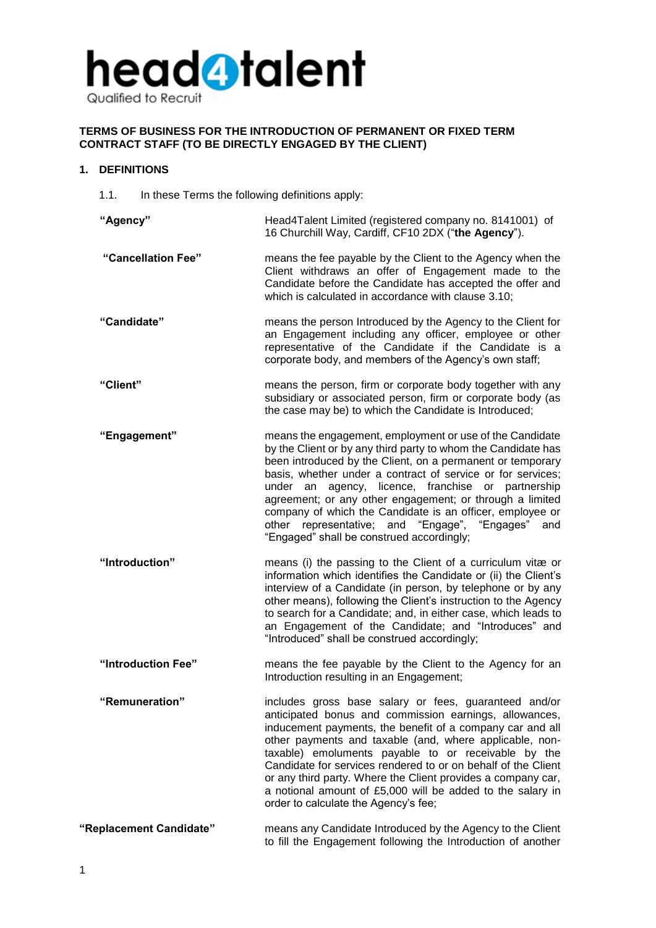

# **TERMS OF BUSINESS FOR THE INTRODUCTION OF PERMANENT OR FIXED TERM CONTRACT STAFF (TO BE DIRECTLY ENGAGED BY THE CLIENT)**

# **1. DEFINITIONS**

1.1. In these Terms the following definitions apply:

| "Agency"                | Head4Talent Limited (registered company no. 8141001) of<br>16 Churchill Way, Cardiff, CF10 2DX ("the Agency").                                                                                                                                                                                                                                                                                                                                                                                                                             |
|-------------------------|--------------------------------------------------------------------------------------------------------------------------------------------------------------------------------------------------------------------------------------------------------------------------------------------------------------------------------------------------------------------------------------------------------------------------------------------------------------------------------------------------------------------------------------------|
| "Cancellation Fee"      | means the fee payable by the Client to the Agency when the<br>Client withdraws an offer of Engagement made to the<br>Candidate before the Candidate has accepted the offer and<br>which is calculated in accordance with clause 3.10;                                                                                                                                                                                                                                                                                                      |
| "Candidate"             | means the person Introduced by the Agency to the Client for<br>an Engagement including any officer, employee or other<br>representative of the Candidate if the Candidate is a<br>corporate body, and members of the Agency's own staff;                                                                                                                                                                                                                                                                                                   |
| "Client"                | means the person, firm or corporate body together with any<br>subsidiary or associated person, firm or corporate body (as<br>the case may be) to which the Candidate is Introduced;                                                                                                                                                                                                                                                                                                                                                        |
| "Engagement"            | means the engagement, employment or use of the Candidate<br>by the Client or by any third party to whom the Candidate has<br>been introduced by the Client, on a permanent or temporary<br>basis, whether under a contract of service or for services;<br>under an agency, licence, franchise or partnership<br>agreement; or any other engagement; or through a limited<br>company of which the Candidate is an officer, employee or<br>other representative; and "Engage", "Engages"<br>and<br>"Engaged" shall be construed accordingly; |
| "Introduction"          | means (i) the passing to the Client of a curriculum vitæ or<br>information which identifies the Candidate or (ii) the Client's<br>interview of a Candidate (in person, by telephone or by any<br>other means), following the Client's instruction to the Agency<br>to search for a Candidate; and, in either case, which leads to<br>an Engagement of the Candidate; and "Introduces" and<br>"Introduced" shall be construed accordingly;                                                                                                  |
| "Introduction Fee"      | means the fee payable by the Client to the Agency for an<br>Introduction resulting in an Engagement;                                                                                                                                                                                                                                                                                                                                                                                                                                       |
| "Remuneration"          | includes gross base salary or fees, guaranteed and/or<br>anticipated bonus and commission earnings, allowances,<br>inducement payments, the benefit of a company car and all<br>other payments and taxable (and, where applicable, non-<br>taxable) emoluments payable to or receivable by the<br>Candidate for services rendered to or on behalf of the Client<br>or any third party. Where the Client provides a company car,<br>a notional amount of £5,000 will be added to the salary in<br>order to calculate the Agency's fee;      |
| "Replacement Candidate" | means any Candidate Introduced by the Agency to the Client<br>to fill the Engagement following the Introduction of another                                                                                                                                                                                                                                                                                                                                                                                                                 |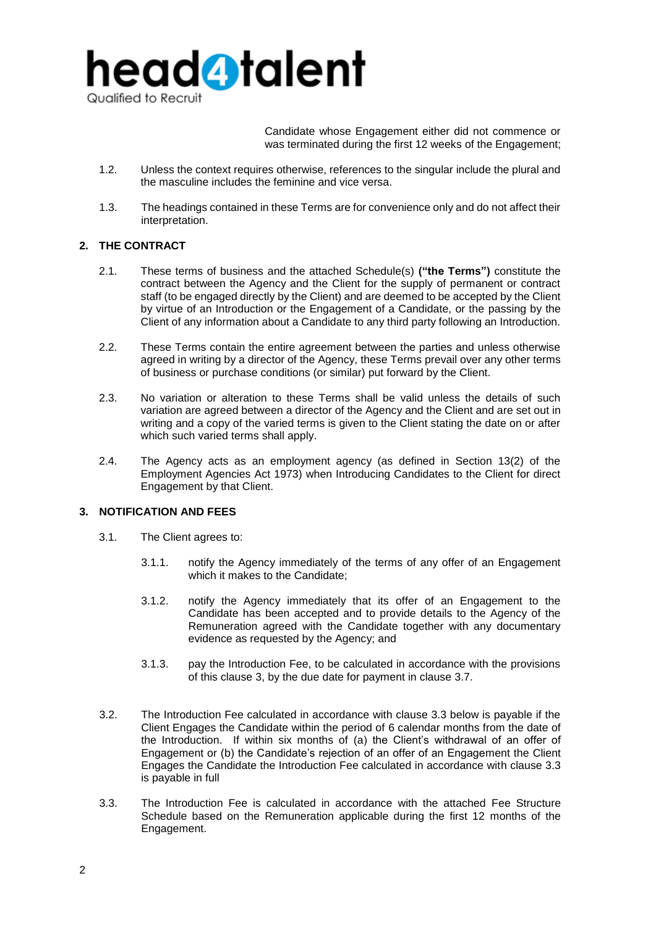

Candidate whose Engagement either did not commence or was terminated during the first 12 weeks of the Engagement;

- 1.2. Unless the context requires otherwise, references to the singular include the plural and the masculine includes the feminine and vice versa.
- 1.3. The headings contained in these Terms are for convenience only and do not affect their interpretation.

# **2. THE CONTRACT**

- 2.1. These terms of business and the attached Schedule(s) **("the Terms")** constitute the contract between the Agency and the Client for the supply of permanent or contract staff (to be engaged directly by the Client) and are deemed to be accepted by the Client by virtue of an Introduction or the Engagement of a Candidate, or the passing by the Client of any information about a Candidate to any third party following an Introduction.
- 2.2. These Terms contain the entire agreement between the parties and unless otherwise agreed in writing by a director of the Agency, these Terms prevail over any other terms of business or purchase conditions (or similar) put forward by the Client.
- 2.3. No variation or alteration to these Terms shall be valid unless the details of such variation are agreed between a director of the Agency and the Client and are set out in writing and a copy of the varied terms is given to the Client stating the date on or after which such varied terms shall apply.
- 2.4. The Agency acts as an employment agency (as defined in Section 13(2) of the Employment Agencies Act 1973) when Introducing Candidates to the Client for direct Engagement by that Client.

# **3. NOTIFICATION AND FEES**

- 3.1. The Client agrees to:
	- 3.1.1. notify the Agency immediately of the terms of any offer of an Engagement which it makes to the Candidate;
	- 3.1.2. notify the Agency immediately that its offer of an Engagement to the Candidate has been accepted and to provide details to the Agency of the Remuneration agreed with the Candidate together with any documentary evidence as requested by the Agency; and
	- 3.1.3. pay the Introduction Fee, to be calculated in accordance with the provisions of this clause 3, by the due date for payment in clause 3.7.
- 3.2. The Introduction Fee calculated in accordance with clause 3.3 below is payable if the Client Engages the Candidate within the period of 6 calendar months from the date of the Introduction. If within six months of (a) the Client's withdrawal of an offer of Engagement or (b) the Candidate's rejection of an offer of an Engagement the Client Engages the Candidate the Introduction Fee calculated in accordance with clause 3.3 is payable in full
- 3.3. The Introduction Fee is calculated in accordance with the attached Fee Structure Schedule based on the Remuneration applicable during the first 12 months of the Engagement.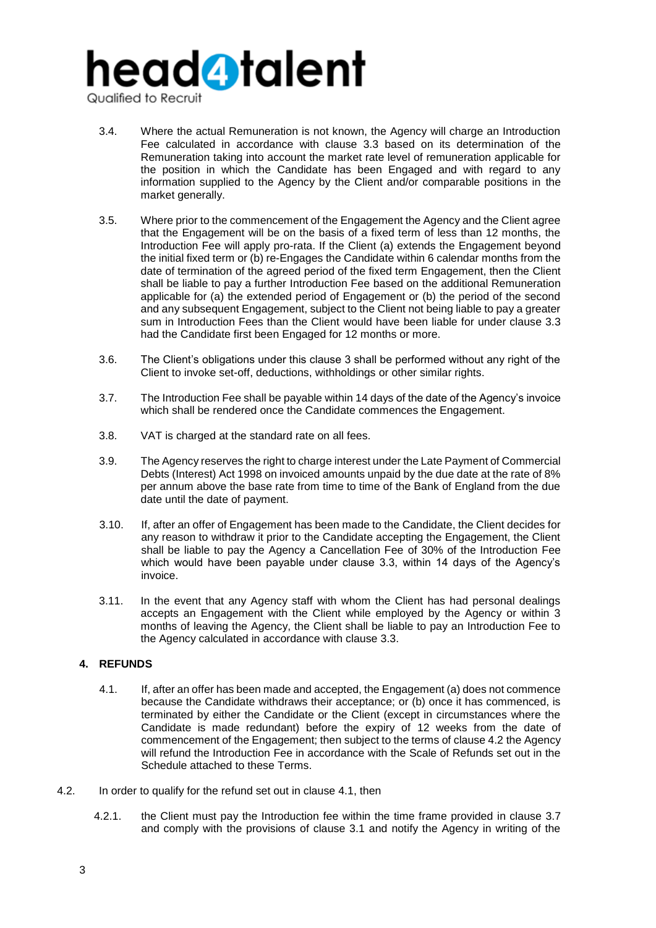# head**4** talent

Qualified to Recruit

- 3.4. Where the actual Remuneration is not known, the Agency will charge an Introduction Fee calculated in accordance with clause 3.3 based on its determination of the Remuneration taking into account the market rate level of remuneration applicable for the position in which the Candidate has been Engaged and with regard to any information supplied to the Agency by the Client and/or comparable positions in the market generally.
- 3.5. Where prior to the commencement of the Engagement the Agency and the Client agree that the Engagement will be on the basis of a fixed term of less than 12 months, the Introduction Fee will apply pro-rata. If the Client (a) extends the Engagement beyond the initial fixed term or (b) re-Engages the Candidate within 6 calendar months from the date of termination of the agreed period of the fixed term Engagement, then the Client shall be liable to pay a further Introduction Fee based on the additional Remuneration applicable for (a) the extended period of Engagement or (b) the period of the second and any subsequent Engagement, subject to the Client not being liable to pay a greater sum in Introduction Fees than the Client would have been liable for under clause 3.3 had the Candidate first been Engaged for 12 months or more.
- 3.6. The Client's obligations under this clause 3 shall be performed without any right of the Client to invoke set-off, deductions, withholdings or other similar rights.
- 3.7. The Introduction Fee shall be payable within 14 days of the date of the Agency's invoice which shall be rendered once the Candidate commences the Engagement.
- 3.8. VAT is charged at the standard rate on all fees.
- 3.9. The Agency reserves the right to charge interest under the Late Payment of Commercial Debts (Interest) Act 1998 on invoiced amounts unpaid by the due date at the rate of 8% per annum above the base rate from time to time of the Bank of England from the due date until the date of payment.
- 3.10. If, after an offer of Engagement has been made to the Candidate, the Client decides for any reason to withdraw it prior to the Candidate accepting the Engagement, the Client shall be liable to pay the Agency a Cancellation Fee of 30% of the Introduction Fee which would have been payable under clause 3.3, within 14 days of the Agency's invoice.
- 3.11. In the event that any Agency staff with whom the Client has had personal dealings accepts an Engagement with the Client while employed by the Agency or within 3 months of leaving the Agency, the Client shall be liable to pay an Introduction Fee to the Agency calculated in accordance with clause 3.3.

# **4. REFUNDS**

- 4.1. If, after an offer has been made and accepted, the Engagement (a) does not commence because the Candidate withdraws their acceptance; or (b) once it has commenced, is terminated by either the Candidate or the Client (except in circumstances where the Candidate is made redundant) before the expiry of 12 weeks from the date of commencement of the Engagement; then subject to the terms of clause 4.2 the Agency will refund the Introduction Fee in accordance with the Scale of Refunds set out in the Schedule attached to these Terms.
- 4.2. In order to qualify for the refund set out in clause 4.1, then
	- 4.2.1. the Client must pay the Introduction fee within the time frame provided in clause 3.7 and comply with the provisions of clause 3.1 and notify the Agency in writing of the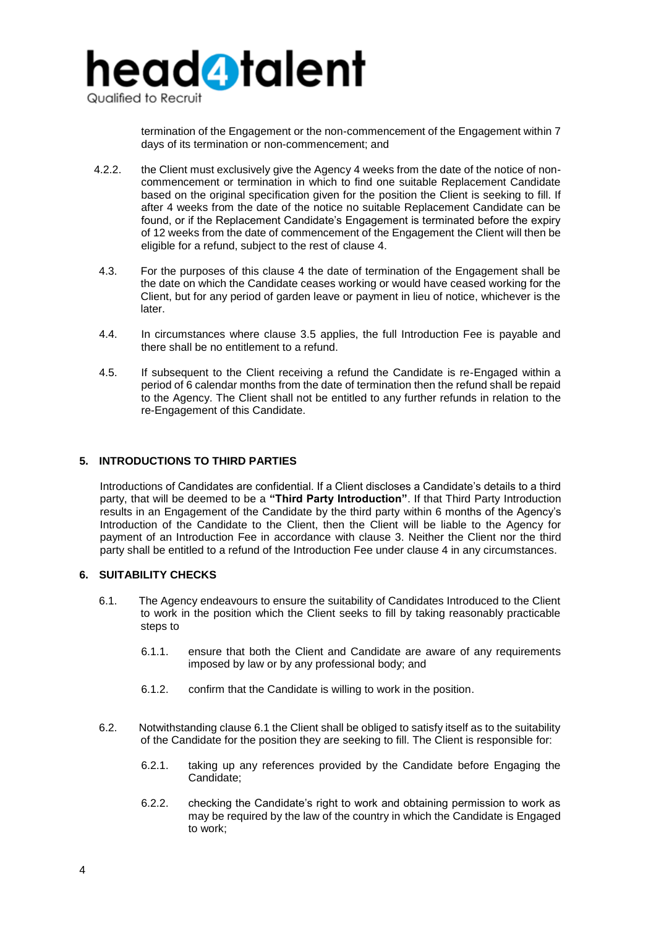

termination of the Engagement or the non-commencement of the Engagement within 7 days of its termination or non-commencement; and

- 4.2.2. the Client must exclusively give the Agency 4 weeks from the date of the notice of noncommencement or termination in which to find one suitable Replacement Candidate based on the original specification given for the position the Client is seeking to fill. If after 4 weeks from the date of the notice no suitable Replacement Candidate can be found, or if the Replacement Candidate's Engagement is terminated before the expiry of 12 weeks from the date of commencement of the Engagement the Client will then be eligible for a refund, subject to the rest of clause 4.
- 4.3. For the purposes of this clause 4 the date of termination of the Engagement shall be the date on which the Candidate ceases working or would have ceased working for the Client, but for any period of garden leave or payment in lieu of notice, whichever is the later.
- 4.4. In circumstances where clause 3.5 applies, the full Introduction Fee is payable and there shall be no entitlement to a refund.
- 4.5. If subsequent to the Client receiving a refund the Candidate is re-Engaged within a period of 6 calendar months from the date of termination then the refund shall be repaid to the Agency. The Client shall not be entitled to any further refunds in relation to the re-Engagement of this Candidate.

# **5. INTRODUCTIONS TO THIRD PARTIES**

Introductions of Candidates are confidential. If a Client discloses a Candidate's details to a third party, that will be deemed to be a **"Third Party Introduction"**. If that Third Party Introduction results in an Engagement of the Candidate by the third party within 6 months of the Agency's Introduction of the Candidate to the Client, then the Client will be liable to the Agency for payment of an Introduction Fee in accordance with clause 3. Neither the Client nor the third party shall be entitled to a refund of the Introduction Fee under clause 4 in any circumstances.

# **6. SUITABILITY CHECKS**

- 6.1. The Agency endeavours to ensure the suitability of Candidates Introduced to the Client to work in the position which the Client seeks to fill by taking reasonably practicable steps to
	- 6.1.1. ensure that both the Client and Candidate are aware of any requirements imposed by law or by any professional body; and
	- 6.1.2. confirm that the Candidate is willing to work in the position.
- 6.2. Notwithstanding clause 6.1 the Client shall be obliged to satisfy itself as to the suitability of the Candidate for the position they are seeking to fill. The Client is responsible for:
	- 6.2.1. taking up any references provided by the Candidate before Engaging the Candidate;
	- 6.2.2. checking the Candidate's right to work and obtaining permission to work as may be required by the law of the country in which the Candidate is Engaged to work;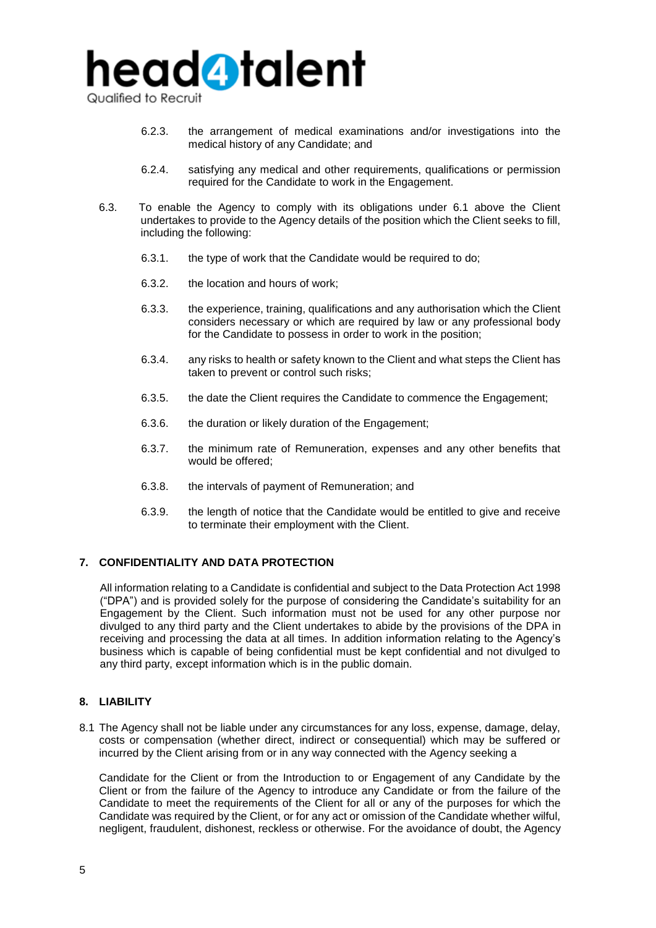

Qualified to Recruit

- 6.2.3. the arrangement of medical examinations and/or investigations into the medical history of any Candidate; and
- 6.2.4. satisfying any medical and other requirements, qualifications or permission required for the Candidate to work in the Engagement.
- 6.3. To enable the Agency to comply with its obligations under 6.1 above the Client undertakes to provide to the Agency details of the position which the Client seeks to fill, including the following:
	- 6.3.1. the type of work that the Candidate would be required to do;
	- 6.3.2. the location and hours of work;
	- 6.3.3. the experience, training, qualifications and any authorisation which the Client considers necessary or which are required by law or any professional body for the Candidate to possess in order to work in the position;
	- 6.3.4. any risks to health or safety known to the Client and what steps the Client has taken to prevent or control such risks;
	- 6.3.5. the date the Client requires the Candidate to commence the Engagement;
	- 6.3.6. the duration or likely duration of the Engagement;
	- 6.3.7. the minimum rate of Remuneration, expenses and any other benefits that would be offered;
	- 6.3.8. the intervals of payment of Remuneration; and
	- 6.3.9. the length of notice that the Candidate would be entitled to give and receive to terminate their employment with the Client.

# **7. CONFIDENTIALITY AND DATA PROTECTION**

All information relating to a Candidate is confidential and subject to the Data Protection Act 1998 ("DPA") and is provided solely for the purpose of considering the Candidate's suitability for an Engagement by the Client. Such information must not be used for any other purpose nor divulged to any third party and the Client undertakes to abide by the provisions of the DPA in receiving and processing the data at all times. In addition information relating to the Agency's business which is capable of being confidential must be kept confidential and not divulged to any third party, except information which is in the public domain.

# **8. LIABILITY**

8.1 The Agency shall not be liable under any circumstances for any loss, expense, damage, delay, costs or compensation (whether direct, indirect or consequential) which may be suffered or incurred by the Client arising from or in any way connected with the Agency seeking a

Candidate for the Client or from the Introduction to or Engagement of any Candidate by the Client or from the failure of the Agency to introduce any Candidate or from the failure of the Candidate to meet the requirements of the Client for all or any of the purposes for which the Candidate was required by the Client, or for any act or omission of the Candidate whether wilful, negligent, fraudulent, dishonest, reckless or otherwise. For the avoidance of doubt, the Agency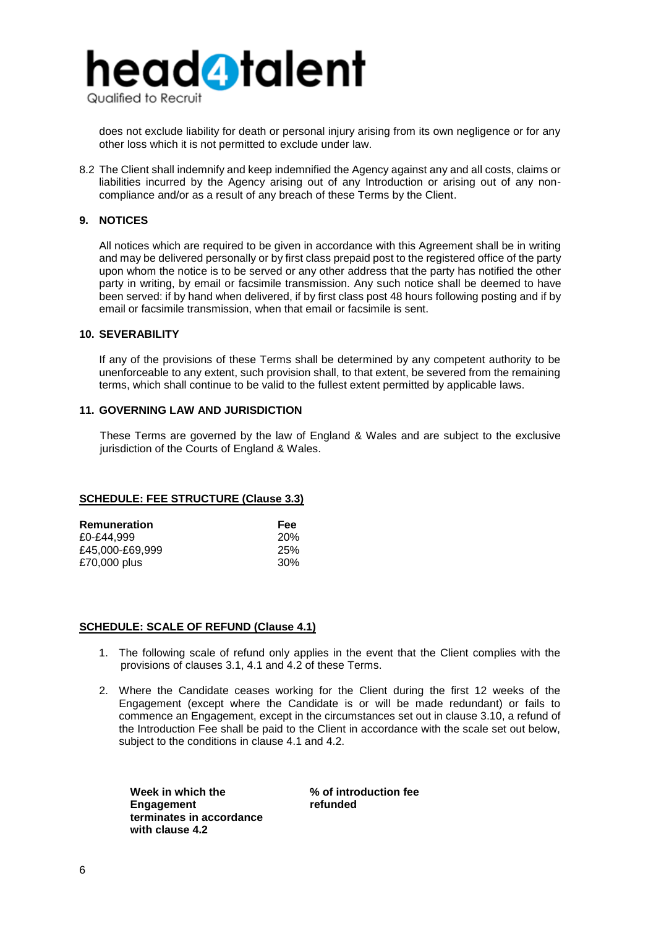

does not exclude liability for death or personal injury arising from its own negligence or for any other loss which it is not permitted to exclude under law.

8.2 The Client shall indemnify and keep indemnified the Agency against any and all costs, claims or liabilities incurred by the Agency arising out of any Introduction or arising out of any noncompliance and/or as a result of any breach of these Terms by the Client.

# **9. NOTICES**

All notices which are required to be given in accordance with this Agreement shall be in writing and may be delivered personally or by first class prepaid post to the registered office of the party upon whom the notice is to be served or any other address that the party has notified the other party in writing, by email or facsimile transmission. Any such notice shall be deemed to have been served: if by hand when delivered, if by first class post 48 hours following posting and if by email or facsimile transmission, when that email or facsimile is sent.

# **10. SEVERABILITY**

If any of the provisions of these Terms shall be determined by any competent authority to be unenforceable to any extent, such provision shall, to that extent, be severed from the remaining terms, which shall continue to be valid to the fullest extent permitted by applicable laws.

# **11. GOVERNING LAW AND JURISDICTION**

These Terms are governed by the law of England & Wales and are subject to the exclusive jurisdiction of the Courts of England & Wales.

## **SCHEDULE: FEE STRUCTURE (Clause 3.3)**

| Remuneration    | <b>Fee</b> |
|-----------------|------------|
| £0-£44.999      | <b>20%</b> |
| £45.000-£69.999 | 25%        |
| £70,000 plus    | 30%        |

### **SCHEDULE: SCALE OF REFUND (Clause 4.1)**

- 1. The following scale of refund only applies in the event that the Client complies with the provisions of clauses 3.1, 4.1 and 4.2 of these Terms.
- 2. Where the Candidate ceases working for the Client during the first 12 weeks of the Engagement (except where the Candidate is or will be made redundant) or fails to commence an Engagement, except in the circumstances set out in clause 3.10, a refund of the Introduction Fee shall be paid to the Client in accordance with the scale set out below, subject to the conditions in clause 4.1 and 4.2.

**Week in which the Engagement terminates in accordance with clause 4.2**

**% of introduction fee refunded**